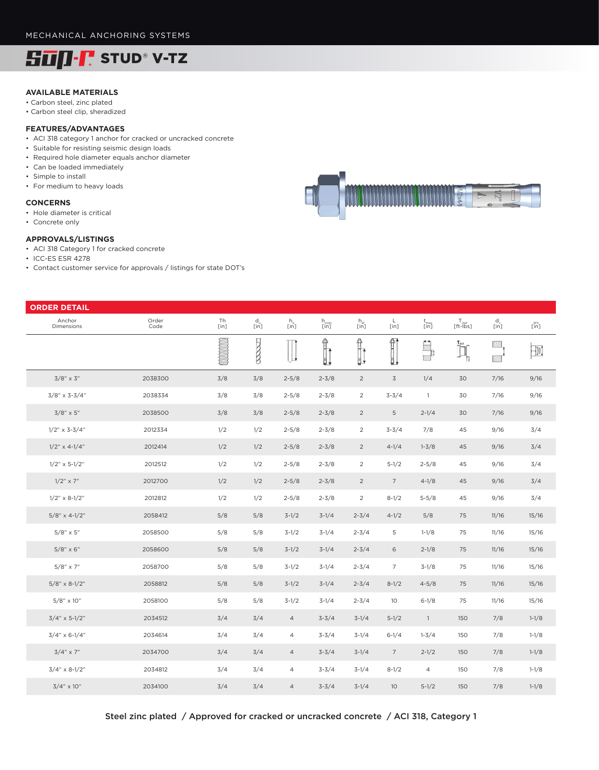

### **AVAILABLE MATERIALS**

- Carbon steel, zinc plated
- Carbon steel clip, sheradized

#### **FEATURES/ADVANTAGES**

- ACI 318 category 1 anchor for cracked or uncracked concrete
- Suitable for resisting seismic design loads
- Required hole diameter equals anchor diameter
- Can be loaded immediately
- Simple to install
- For medium to heavy loads

### **CONCERNS**

- Hole diameter is critical
- Concrete only

## **APPROVALS/LISTINGS**

- ACI 318 Category 1 for cracked concrete
- ICC-ES ESR 4278
- Contact customer service for approvals / listings for state DOT's

| <b>ORDER DETAIL</b>  |               |            |                                                                   |                                                        |                                                                                                                                                                                                                                                                                                                                                     |                        |                      |                          |                                                                                                                                                                                                                                                                                                                                                     |                                                                                       |                                    |
|----------------------|---------------|------------|-------------------------------------------------------------------|--------------------------------------------------------|-----------------------------------------------------------------------------------------------------------------------------------------------------------------------------------------------------------------------------------------------------------------------------------------------------------------------------------------------------|------------------------|----------------------|--------------------------|-----------------------------------------------------------------------------------------------------------------------------------------------------------------------------------------------------------------------------------------------------------------------------------------------------------------------------------------------------|---------------------------------------------------------------------------------------|------------------------------------|
| Anchor<br>Dimensions | Order<br>Code | Th<br>[in] | $\begin{smallmatrix} \mathsf{d} \ \mathsf{lin} \end{smallmatrix}$ | $\begin{array}{c} h_{\rm o} \\ {\rm [in]} \end{array}$ | h <sub>nom</sub><br>[in]                                                                                                                                                                                                                                                                                                                            | $h_{\text{ef}}$ [in]   | $\mathsf{L}$<br>[in] | $t_{\text{max}}$<br>[in] | $T_{\text{left-}}$ [ft- $\hat{\text{bs}}$ ]                                                                                                                                                                                                                                                                                                         | $\begin{smallmatrix} \mathsf{d}_\mathsf{c} \ \mathsf{I}\mathsf{in} \end{smallmatrix}$ | $\mathsf{I}^\mathsf{ws}\mathsf{I}$ |
|                      |               |            |                                                                   | ⊣+                                                     | $\begin{picture}(20,20) \put(0,0){\line(1,0){10}} \put(15,0){\line(1,0){10}} \put(15,0){\line(1,0){10}} \put(15,0){\line(1,0){10}} \put(15,0){\line(1,0){10}} \put(15,0){\line(1,0){10}} \put(15,0){\line(1,0){10}} \put(15,0){\line(1,0){10}} \put(15,0){\line(1,0){10}} \put(15,0){\line(1,0){10}} \put(15,0){\line(1,0){10}} \put(15,0){\line(1$ | 伜<br>$\prod_{i=1}^{n}$ |                      | F                        | $\begin{picture}(20,20) \put(0,0){\line(1,0){10}} \put(15,0){\line(1,0){10}} \put(15,0){\line(1,0){10}} \put(15,0){\line(1,0){10}} \put(15,0){\line(1,0){10}} \put(15,0){\line(1,0){10}} \put(15,0){\line(1,0){10}} \put(15,0){\line(1,0){10}} \put(15,0){\line(1,0){10}} \put(15,0){\line(1,0){10}} \put(15,0){\line(1,0){10}} \put(15,0){\line(1$ | 111                                                                                   | $\exists$                          |
| $3/8$ " x 3"         | 2038300       | 3/8        | 3/8                                                               | $2 - 5/8$                                              | $2 - 3/8$                                                                                                                                                                                                                                                                                                                                           | $\overline{2}$         | $\overline{3}$       | 1/4                      | 30                                                                                                                                                                                                                                                                                                                                                  | 7/16                                                                                  | 9/16                               |
| $3/8$ " x 3-3/4"     | 2038334       | 3/8        | 3/8                                                               | $2 - 5/8$                                              | $2 - 3/8$                                                                                                                                                                                                                                                                                                                                           | $\overline{2}$         | $3 - 3/4$            | $\mathbf{1}$             | 30                                                                                                                                                                                                                                                                                                                                                  | 7/16                                                                                  | 9/16                               |
| $3/8$ " x 5"         | 2038500       | 3/8        | 3/8                                                               | $2 - 5/8$                                              | $2 - 3/8$                                                                                                                                                                                                                                                                                                                                           | $\overline{2}$         | 5                    | $2 - 1/4$                | 30                                                                                                                                                                                                                                                                                                                                                  | 7/16                                                                                  | 9/16                               |
| $1/2$ " x 3-3/4"     | 2012334       | 1/2        | 1/2                                                               | $2 - 5/8$                                              | $2 - 3/8$                                                                                                                                                                                                                                                                                                                                           | $\overline{2}$         | $3 - 3/4$            | 7/8                      | 45                                                                                                                                                                                                                                                                                                                                                  | 9/16                                                                                  | 3/4                                |
| $1/2$ " x 4-1/4"     | 2012414       | 1/2        | 1/2                                                               | $2 - 5/8$                                              | $2 - 3/8$                                                                                                                                                                                                                                                                                                                                           | $\overline{2}$         | $4 - 1/4$            | $1 - 3/8$                | 45                                                                                                                                                                                                                                                                                                                                                  | 9/16                                                                                  | 3/4                                |
| $1/2$ " x 5-1/2"     | 2012512       | 1/2        | 1/2                                                               | $2 - 5/8$                                              | $2 - 3/8$                                                                                                                                                                                                                                                                                                                                           | $\overline{2}$         | $5 - 1/2$            | $2 - 5/8$                | 45                                                                                                                                                                                                                                                                                                                                                  | 9/16                                                                                  | 3/4                                |
| $1/2" \times 7"$     | 2012700       | 1/2        | 1/2                                                               | $2 - 5/8$                                              | $2 - 3/8$                                                                                                                                                                                                                                                                                                                                           | $\overline{2}$         | $7^{\circ}$          | $4 - 1/8$                | 45                                                                                                                                                                                                                                                                                                                                                  | 9/16                                                                                  | 3/4                                |
| $1/2$ " x 8-1/2"     | 2012812       | 1/2        | 1/2                                                               | $2 - 5/8$                                              | $2 - 3/8$                                                                                                                                                                                                                                                                                                                                           | $\overline{c}$         | $8-1/2$              | $5 - 5/8$                | 45                                                                                                                                                                                                                                                                                                                                                  | 9/16                                                                                  | 3/4                                |
| $5/8$ " x 4-1/2"     | 2058412       | 5/8        | 5/8                                                               | $3-1/2$                                                | $3-1/4$                                                                                                                                                                                                                                                                                                                                             | $2 - 3/4$              | $4 - 1/2$            | 5/8                      | 75                                                                                                                                                                                                                                                                                                                                                  | 11/16                                                                                 | 15/16                              |
| $5/8" \times 5"$     | 2058500       | 5/8        | 5/8                                                               | $3-1/2$                                                | $3-1/4$                                                                                                                                                                                                                                                                                                                                             | $2 - 3/4$              | 5                    | $1-1/8$                  | 75                                                                                                                                                                                                                                                                                                                                                  | 11/16                                                                                 | 15/16                              |
| $5/8" \times 6"$     | 2058600       | 5/8        | 5/8                                                               | $3-1/2$                                                | $3-1/4$                                                                                                                                                                                                                                                                                                                                             | $2 - 3/4$              | 6                    | $2 - 1/8$                | 75                                                                                                                                                                                                                                                                                                                                                  | 11/16                                                                                 | 15/16                              |
| $5/8" \times 7"$     | 2058700       | 5/8        | 5/8                                                               | $3-1/2$                                                | $3-1/4$                                                                                                                                                                                                                                                                                                                                             | $2 - 3/4$              | $\overline{7}$       | $3-1/8$                  | 75                                                                                                                                                                                                                                                                                                                                                  | 11/16                                                                                 | 15/16                              |
| $5/8$ " x 8-1/2"     | 2058812       | 5/8        | 5/8                                                               | $3-1/2$                                                | $3-1/4$                                                                                                                                                                                                                                                                                                                                             | $2 - 3/4$              | $8-1/2$              | $4 - 5/8$                | 75                                                                                                                                                                                                                                                                                                                                                  | 11/16                                                                                 | 15/16                              |
| $5/8" \times 10"$    | 2058100       | 5/8        | 5/8                                                               | $3-1/2$                                                | $3-1/4$                                                                                                                                                                                                                                                                                                                                             | $2 - 3/4$              | 10 <sup>°</sup>      | $6 - 1/8$                | 75                                                                                                                                                                                                                                                                                                                                                  | 11/16                                                                                 | 15/16                              |
| $3/4" \times 5-1/2"$ | 2034512       | 3/4        | 3/4                                                               | $\overline{4}$                                         | $3 - 3/4$                                                                                                                                                                                                                                                                                                                                           | $3-1/4$                | $5 - 1/2$            | $\overline{1}$           | 150                                                                                                                                                                                                                                                                                                                                                 | 7/8                                                                                   | $1-1/8$                            |
| $3/4" \times 6-1/4"$ | 2034614       | 3/4        | 3/4                                                               | $\overline{4}$                                         | $3 - 3/4$                                                                                                                                                                                                                                                                                                                                           | $3-1/4$                | $6 - 1/4$            | $1 - 3/4$                | 150                                                                                                                                                                                                                                                                                                                                                 | 7/8                                                                                   | $1-1/8$                            |
| $3/4" \times 7"$     | 2034700       | 3/4        | 3/4                                                               | $\overline{4}$                                         | $3 - 3/4$                                                                                                                                                                                                                                                                                                                                           | $3-1/4$                | $7\overline{ }$      | $2 - 1/2$                | 150                                                                                                                                                                                                                                                                                                                                                 | 7/8                                                                                   | $1-1/8$                            |
| $3/4" \times 8-1/2"$ | 2034812       | 3/4        | 3/4                                                               | $\overline{4}$                                         | $3 - 3/4$                                                                                                                                                                                                                                                                                                                                           | $3-1/4$                | $8-1/2$              | 4                        | 150                                                                                                                                                                                                                                                                                                                                                 | 7/8                                                                                   | $1-1/8$                            |
| $3/4" \times 10"$    | 2034100       | 3/4        | 3/4                                                               | $\overline{4}$                                         | $3 - 3/4$                                                                                                                                                                                                                                                                                                                                           | $3-1/4$                | 10                   | $5 - 1/2$                | 150                                                                                                                                                                                                                                                                                                                                                 | 7/8                                                                                   | $1-1/8$                            |